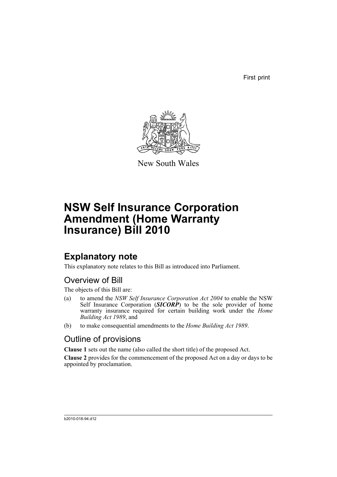First print



New South Wales

# **NSW Self Insurance Corporation Amendment (Home Warranty Insurance) Bill 2010**

# **Explanatory note**

This explanatory note relates to this Bill as introduced into Parliament.

# Overview of Bill

The objects of this Bill are:

- (a) to amend the *NSW Self Insurance Corporation Act 2004* to enable the NSW Self Insurance Corporation (*SICORP*) to be the sole provider of home warranty insurance required for certain building work under the *Home Building Act 1989*, and
- (b) to make consequential amendments to the *Home Building Act 1989*.

# Outline of provisions

**Clause 1** sets out the name (also called the short title) of the proposed Act.

**Clause 2** provides for the commencement of the proposed Act on a day or days to be appointed by proclamation.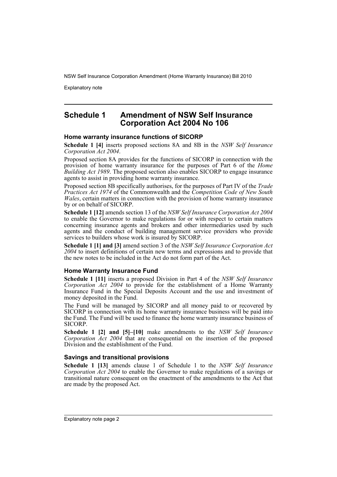Explanatory note

## **Schedule 1 Amendment of NSW Self Insurance Corporation Act 2004 No 106**

#### **Home warranty insurance functions of SICORP**

**Schedule 1 [4]** inserts proposed sections 8A and 8B in the *NSW Self Insurance Corporation Act 2004*.

Proposed section 8A provides for the functions of SICORP in connection with the provision of home warranty insurance for the purposes of Part 6 of the *Home Building Act 1989*. The proposed section also enables SICORP to engage insurance agents to assist in providing home warranty insurance.

Proposed section 8B specifically authorises, for the purposes of Part IV of the *Trade Practices Act 1974* of the Commonwealth and the *Competition Code of New South Wales*, certain matters in connection with the provision of home warranty insurance by or on behalf of SICORP.

**Schedule 1 [12]** amends section 13 of the *NSW Self Insurance Corporation Act 2004* to enable the Governor to make regulations for or with respect to certain matters concerning insurance agents and brokers and other intermediaries used by such agents and the conduct of building management service providers who provide services to builders whose work is insured by SICORP.

**Schedule 1 [1] and [3]** amend section 3 of the *NSW Self Insurance Corporation Act 2004* to insert definitions of certain new terms and expressions and to provide that the new notes to be included in the Act do not form part of the Act.

#### **Home Warranty Insurance Fund**

**Schedule 1 [11]** inserts a proposed Division in Part 4 of the *NSW Self Insurance Corporation Act 2004* to provide for the establishment of a Home Warranty Insurance Fund in the Special Deposits Account and the use and investment of money deposited in the Fund.

The Fund will be managed by SICORP and all money paid to or recovered by SICORP in connection with its home warranty insurance business will be paid into the Fund. The Fund will be used to finance the home warranty insurance business of SICORP.

**Schedule 1 [2] and [5]–[10]** make amendments to the *NSW Self Insurance Corporation Act 2004* that are consequential on the insertion of the proposed Division and the establishment of the Fund.

#### **Savings and transitional provisions**

**Schedule 1 [13]** amends clause 1 of Schedule 1 to the *NSW Self Insurance Corporation Act 2004* to enable the Governor to make regulations of a savings or transitional nature consequent on the enactment of the amendments to the Act that are made by the proposed Act.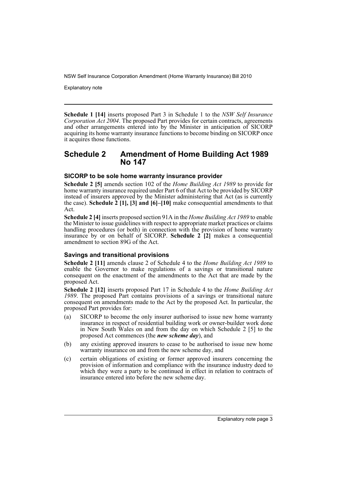Explanatory note

**Schedule 1 [14]** inserts proposed Part 3 in Schedule 1 to the *NSW Self Insurance Corporation Act 2004*. The proposed Part provides for certain contracts, agreements and other arrangements entered into by the Minister in anticipation of SICORP acquiring its home warranty insurance functions to become binding on SICORP once it acquires those functions.

# **Schedule 2 Amendment of Home Building Act 1989 No 147**

#### **SICORP to be sole home warranty insurance provider**

**Schedule 2 [5]** amends section 102 of the *Home Building Act 1989* to provide for home warranty insurance required under Part 6 of that Act to be provided by SICORP instead of insurers approved by the Minister administering that Act (as is currently the case). **Schedule 2 [1], [3] and [6]–[10]** make consequential amendments to that Act.

**Schedule 2 [4]** inserts proposed section 91A in the *Home Building Act 1989* to enable the Minister to issue guidelines with respect to appropriate market practices or claims handling procedures (or both) in connection with the provision of home warranty insurance by or on behalf of SICORP. **Schedule 2 [2]** makes a consequential amendment to section 89G of the Act.

### **Savings and transitional provisions**

**Schedule 2 [11]** amends clause 2 of Schedule 4 to the *Home Building Act 1989* to enable the Governor to make regulations of a savings or transitional nature consequent on the enactment of the amendments to the Act that are made by the proposed Act.

**Schedule 2 [12]** inserts proposed Part 17 in Schedule 4 to the *Home Building Act 1989*. The proposed Part contains provisions of a savings or transitional nature consequent on amendments made to the Act by the proposed Act. In particular, the proposed Part provides for:

- (a) SICORP to become the only insurer authorised to issue new home warranty insurance in respect of residential building work or owner-builder work done in New South Wales on and from the day on which Schedule 2 [5] to the proposed Act commences (the *new scheme day*), and
- (b) any existing approved insurers to cease to be authorised to issue new home warranty insurance on and from the new scheme day, and
- (c) certain obligations of existing or former approved insurers concerning the provision of information and compliance with the insurance industry deed to which they were a party to be continued in effect in relation to contracts of insurance entered into before the new scheme day.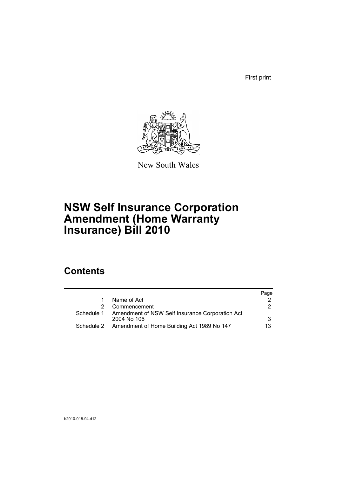First print



New South Wales

# **NSW Self Insurance Corporation Amendment (Home Warranty Insurance) Bill 2010**

# **Contents**

|            |                                                                | Page |
|------------|----------------------------------------------------------------|------|
|            | Name of Act                                                    |      |
|            | Commencement                                                   | 2    |
| Schedule 1 | Amendment of NSW Self Insurance Corporation Act<br>2004 No 106 | 3    |
| Schedule 2 | Amendment of Home Building Act 1989 No 147                     | 13   |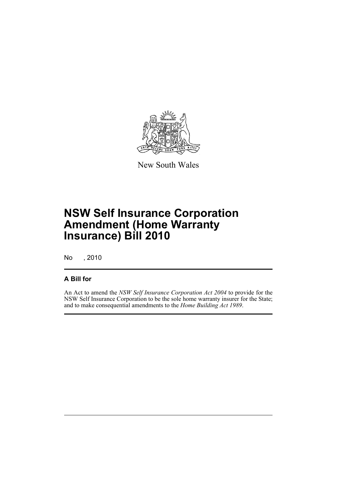

New South Wales

# **NSW Self Insurance Corporation Amendment (Home Warranty Insurance) Bill 2010**

No , 2010

### **A Bill for**

An Act to amend the *NSW Self Insurance Corporation Act 2004* to provide for the NSW Self Insurance Corporation to be the sole home warranty insurer for the State; and to make consequential amendments to the *Home Building Act 1989*.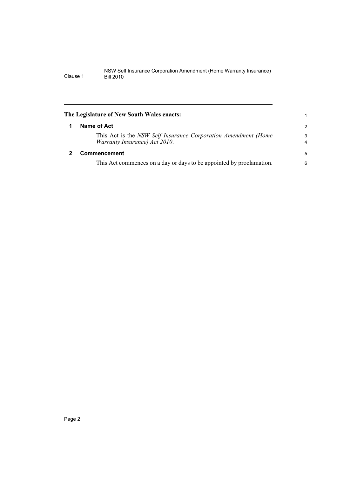<span id="page-7-1"></span><span id="page-7-0"></span>

| The Legislature of New South Wales enacts:                                                      |                     |  |
|-------------------------------------------------------------------------------------------------|---------------------|--|
| Name of Act                                                                                     | $\overline{2}$      |  |
| This Act is the NSW Self Insurance Corporation Amendment (Home<br>Warranty Insurance) Act 2010. | 3<br>$\overline{4}$ |  |
| <b>Commencement</b>                                                                             |                     |  |
| This Act commences on a day or days to be appointed by proclamation.                            | 6                   |  |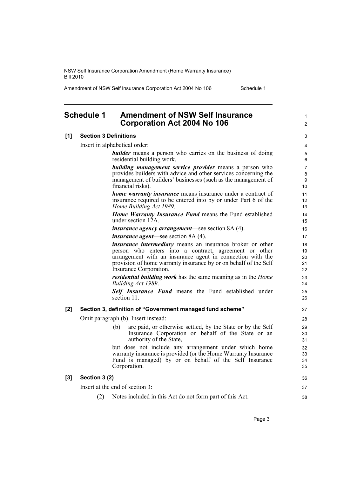Amendment of NSW Self Insurance Corporation Act 2004 No 106 Schedule 1

1  $\mathfrak{p}$ 

36 37 38

# <span id="page-8-0"></span>**Schedule 1 Amendment of NSW Self Insurance Corporation Act 2004 No 106**

#### **[1] Section 3 Definitions**

Insert in alphabetical order:

*builder* means a person who carries on the business of doing residential building work.

*building management service provider* means a person who provides builders with advice and other services concerning the management of builders' businesses (such as the management of financial risks).

*home warranty insurance* means insurance under a contract of insurance required to be entered into by or under Part 6 of the *Home Building Act 1989*.

*Home Warranty Insurance Fund* means the Fund established under section 12A.

*insurance agency arrangement*—see section 8A (4).

*insurance agent*—see section 8A (4).

*insurance intermediary* means an insurance broker or other person who enters into a contract, agreement or other arrangement with an insurance agent in connection with the provision of home warranty insurance by or on behalf of the Self Insurance Corporation.

*residential building work* has the same meaning as in the *Home Building Act 1989*.

*Self Insurance Fund* means the Fund established under section 11.

#### **[2] Section 3, definition of "Government managed fund scheme"**

Omit paragraph (b). Insert instead:

(b) are paid, or otherwise settled, by the State or by the Self Insurance Corporation on behalf of the State or an authority of the State,

but does not include any arrangement under which home warranty insurance is provided (or the Home Warranty Insurance Fund is managed) by or on behalf of the Self Insurance Corporation.

#### **[3] Section 3 (2)**

Insert at the end of section 3:

(2) Notes included in this Act do not form part of this Act.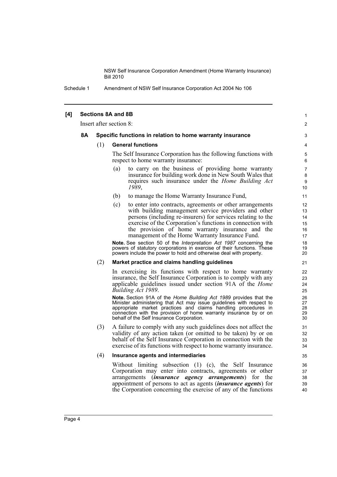Schedule 1 Amendment of NSW Self Insurance Corporation Act 2004 No 106

#### **[4] Sections 8A and 8B**

Insert after section 8:

#### **8A Specific functions in relation to home warranty insurance**

#### (1) **General functions**

The Self Insurance Corporation has the following functions with respect to home warranty insurance:

1  $\mathfrak{p}$ 

- (a) to carry on the business of providing home warranty insurance for building work done in New South Wales that requires such insurance under the *Home Building Act 1989*,
- (b) to manage the Home Warranty Insurance Fund,
- (c) to enter into contracts, agreements or other arrangements with building management service providers and other persons (including re-insurers) for services relating to the exercise of the Corporation's functions in connection with the provision of home warranty insurance and the management of the Home Warranty Insurance Fund.

**Note.** See section 50 of the *Interpretation Act 1987* concerning the powers of statutory corporations in exercise of their functions. These powers include the power to hold and otherwise deal with property.

#### (2) **Market practice and claims handling guidelines**

In exercising its functions with respect to home warranty insurance, the Self Insurance Corporation is to comply with any applicable guidelines issued under section 91A of the *Home Building Act 1989*.

**Note.** Section 91A of the *Home Building Act 1989* provides that the Minister administering that Act may issue guidelines with respect to appropriate market practices and claims handling procedures in connection with the provision of home warranty insurance by or on behalf of the Self Insurance Corporation.

(3) A failure to comply with any such guidelines does not affect the validity of any action taken (or omitted to be taken) by or on behalf of the Self Insurance Corporation in connection with the exercise of its functions with respect to home warranty insurance.

#### (4) **Insurance agents and intermediaries**

Without limiting subsection (1) (c), the Self Insurance Corporation may enter into contracts, agreements or other arrangements (*insurance agency arrangements*) for the appointment of persons to act as agents (*insurance agents*) for the Corporation concerning the exercise of any of the functions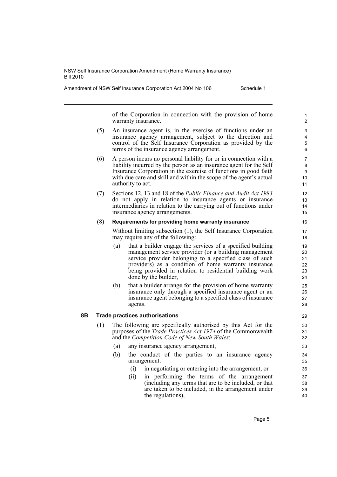Amendment of NSW Self Insurance Corporation Act 2004 No 106 Schedule 1

of the Corporation in connection with the provision of home warranty insurance.

- (5) An insurance agent is, in the exercise of functions under an insurance agency arrangement, subject to the direction and control of the Self Insurance Corporation as provided by the terms of the insurance agency arrangement.
- (6) A person incurs no personal liability for or in connection with a liability incurred by the person as an insurance agent for the Self Insurance Corporation in the exercise of functions in good faith with due care and skill and within the scope of the agent's actual authority to act.
- (7) Sections 12, 13 and 18 of the *Public Finance and Audit Act 1983* do not apply in relation to insurance agents or insurance intermediaries in relation to the carrying out of functions under insurance agency arrangements.

#### (8) **Requirements for providing home warranty insurance**

Without limiting subsection (1), the Self Insurance Corporation may require any of the following:

- (a) that a builder engage the services of a specified building management service provider (or a building management service provider belonging to a specified class of such providers) as a condition of home warranty insurance being provided in relation to residential building work done by the builder,
- (b) that a builder arrange for the provision of home warranty insurance only through a specified insurance agent or an insurance agent belonging to a specified class of insurance agents.

#### **8B Trade practices authorisations**

- (1) The following are specifically authorised by this Act for the purposes of the *Trade Practices Act 1974* of the Commonwealth and the *Competition Code of New South Wales*:
	- (a) any insurance agency arrangement,
	- (b) the conduct of the parties to an insurance agency arrangement:
		- (i) in negotiating or entering into the arrangement, or
		- (ii) in performing the terms of the arrangement (including any terms that are to be included, or that are taken to be included, in the arrangement under the regulations),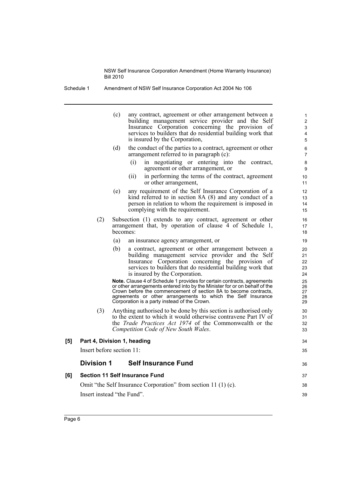Schedule 1 Amendment of NSW Self Insurance Corporation Act 2004 No 106

(c) any contract, agreement or other arrangement between a building management service provider and the Self Insurance Corporation concerning the provision of services to builders that do residential building work that is insured by the Corporation, (d) the conduct of the parties to a contract, agreement or other arrangement referred to in paragraph (c): (i) in negotiating or entering into the contract, agreement or other arrangement, or (ii) in performing the terms of the contract, agreement or other arrangement, (e) any requirement of the Self Insurance Corporation of a kind referred to in section 8A (8) and any conduct of a person in relation to whom the requirement is imposed in complying with the requirement. (2) Subsection (1) extends to any contract, agreement or other arrangement that, by operation of clause 4 of Schedule 1, becomes: (a) an insurance agency arrangement, or (b) a contract, agreement or other arrangement between a building management service provider and the Self Insurance Corporation concerning the provision of services to builders that do residential building work that is insured by the Corporation. **Note.** Clause 4 of Schedule 1 provides for certain contracts, agreements or other arrangements entered into by the Minister for or on behalf of the Crown before the commencement of section 8A to become contracts, agreements or other arrangements to which the Self Insurance Corporation is a party instead of the Crown. (3) Anything authorised to be done by this section is authorised only to the extent to which it would otherwise contravene Part IV of the *Trade Practices Act 1974* of the Commonwealth or the *Competition Code of New South Wales*. **[5] Part 4, Division 1, heading** Insert before section 11: **Division 1 Self Insurance Fund [6] Section 11 Self Insurance Fund** Omit "the Self Insurance Corporation" from section 11 (1) (c). Insert instead "the Fund". 1 2 3 4 5 6 7 8 **9** 10 11 12 13 14 15 16 17 18 19 20 21 22  $23$ 24 25 26 27 28 29 30 31 32 33  $34$ 35 36 37 38 39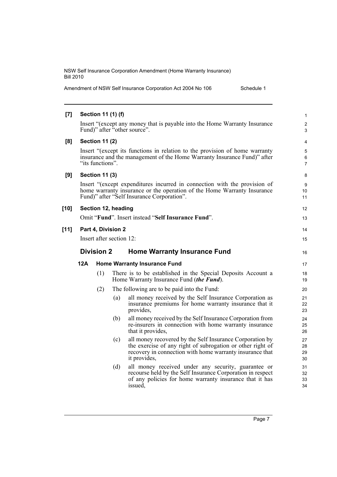| Amendment of NSW Self Insurance Corporation Act 2004 No 106 |  | Schedule 1 |
|-------------------------------------------------------------|--|------------|
|-------------------------------------------------------------|--|------------|

| $[7]$  |                                                                                                                                                                                                    | Section 11 (1) (f)    |     |                                                                                                                                                                                                    | 1                    |
|--------|----------------------------------------------------------------------------------------------------------------------------------------------------------------------------------------------------|-----------------------|-----|----------------------------------------------------------------------------------------------------------------------------------------------------------------------------------------------------|----------------------|
|        |                                                                                                                                                                                                    |                       |     | Insert "(except any money that is payable into the Home Warranty Insurance<br>Fund)" after "other source".                                                                                         | $\overline{c}$<br>3  |
| [8]    |                                                                                                                                                                                                    | <b>Section 11 (2)</b> |     |                                                                                                                                                                                                    | 4                    |
|        | Insert "(except its functions in relation to the provision of home warranty<br>insurance and the management of the Home Warranty Insurance Fund)" after<br>"its functions".                        |                       |     |                                                                                                                                                                                                    |                      |
| [9]    |                                                                                                                                                                                                    | <b>Section 11 (3)</b> |     |                                                                                                                                                                                                    | 8                    |
|        | Insert "(except expenditures incurred in connection with the provision of<br>home warranty insurance or the operation of the Home Warranty Insurance<br>Fund)" after "Self Insurance Corporation". |                       |     |                                                                                                                                                                                                    |                      |
| $[10]$ |                                                                                                                                                                                                    | Section 12, heading   |     |                                                                                                                                                                                                    | 12                   |
|        |                                                                                                                                                                                                    |                       |     | Omit "Fund". Insert instead "Self Insurance Fund".                                                                                                                                                 | 13                   |
| $[11]$ |                                                                                                                                                                                                    | Part 4, Division 2    |     |                                                                                                                                                                                                    | 14                   |
|        | Insert after section 12:                                                                                                                                                                           |                       |     |                                                                                                                                                                                                    |                      |
|        | <b>Division 2</b>                                                                                                                                                                                  |                       |     | <b>Home Warranty Insurance Fund</b>                                                                                                                                                                | 16                   |
|        | 12A                                                                                                                                                                                                |                       |     | <b>Home Warranty Insurance Fund</b>                                                                                                                                                                | 17                   |
|        |                                                                                                                                                                                                    | (1)                   |     | There is to be established in the Special Deposits Account a<br>Home Warranty Insurance Fund (the Fund).                                                                                           | 18<br>19             |
|        |                                                                                                                                                                                                    | (2)                   |     | The following are to be paid into the Fund:                                                                                                                                                        | 20                   |
|        |                                                                                                                                                                                                    |                       | (a) | all money received by the Self Insurance Corporation as<br>insurance premiums for home warranty insurance that it<br>provides,                                                                     | 21<br>22<br>23       |
|        |                                                                                                                                                                                                    |                       | (b) | all money received by the Self Insurance Corporation from<br>re-insurers in connection with home warranty insurance<br>that it provides,                                                           | 24<br>25<br>26       |
|        |                                                                                                                                                                                                    |                       | (c) | all money recovered by the Self Insurance Corporation by<br>the exercise of any right of subrogation or other right of<br>recovery in connection with home warranty insurance that<br>it provides, | 27<br>28<br>29<br>30 |
|        |                                                                                                                                                                                                    |                       | (d) | all money received under any security, guarantee or<br>recourse held by the Self Insurance Corporation in respect<br>of any policies for home warranty insurance that it has<br>issued,            | 31<br>32<br>33<br>34 |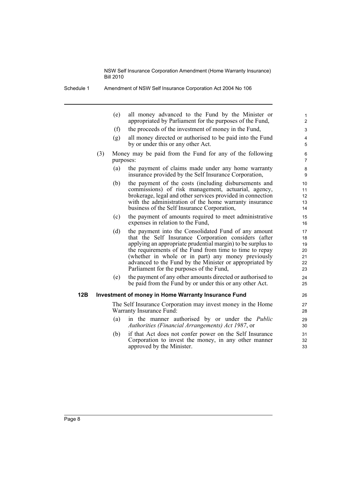Schedule 1 Amendment of NSW Self Insurance Corporation Act 2004 No 106

| (e)                                                                   | all money advanced to the Fund by the Minister or<br>appropriated by Parliament for the purposes of the Fund,                                                                                                                                                                                                                                                                                       | $\mathbf{1}$<br>$\overline{2}$         |  |  |
|-----------------------------------------------------------------------|-----------------------------------------------------------------------------------------------------------------------------------------------------------------------------------------------------------------------------------------------------------------------------------------------------------------------------------------------------------------------------------------------------|----------------------------------------|--|--|
| (f)                                                                   | the proceeds of the investment of money in the Fund,                                                                                                                                                                                                                                                                                                                                                | 3                                      |  |  |
| (g)                                                                   | all money directed or authorised to be paid into the Fund<br>by or under this or any other Act.                                                                                                                                                                                                                                                                                                     | 4<br>5                                 |  |  |
| Money may be paid from the Fund for any of the following<br>purposes: |                                                                                                                                                                                                                                                                                                                                                                                                     |                                        |  |  |
| (a)                                                                   | the payment of claims made under any home warranty<br>insurance provided by the Self Insurance Corporation,                                                                                                                                                                                                                                                                                         | 8<br>9                                 |  |  |
| (b)                                                                   | the payment of the costs (including disbursements and<br>commissions) of risk management, actuarial, agency,<br>brokerage, legal and other services provided in connection<br>with the administration of the home warranty insurance<br>business of the Self Insurance Corporation,                                                                                                                 | 10<br>11<br>12<br>13<br>14             |  |  |
| (c)                                                                   | the payment of amounts required to meet administrative<br>expenses in relation to the Fund,                                                                                                                                                                                                                                                                                                         | 15<br>16                               |  |  |
| (d)                                                                   | the payment into the Consolidated Fund of any amount<br>that the Self Insurance Corporation considers (after<br>applying an appropriate prudential margin) to be surplus to<br>the requirements of the Fund from time to time to repay<br>(whether in whole or in part) any money previously<br>advanced to the Fund by the Minister or appropriated by<br>Parliament for the purposes of the Fund, | 17<br>18<br>19<br>20<br>21<br>22<br>23 |  |  |
|                                                                       |                                                                                                                                                                                                                                                                                                                                                                                                     |                                        |  |  |

(e) the payment of any other amounts directed or authorised to be paid from the Fund by or under this or any other Act.

 $24$ 25

#### **12B Investment of money in Home Warranty Insurance Fund**

The Self Insurance Corporation may invest money in the Home Warranty Insurance Fund:

- (a) in the manner authorised by or under the *Public Authorities (Financial Arrangements) Act 1987*, or
- (b) if that Act does not confer power on the Self Insurance Corporation to invest the money, in any other manner approved by the Minister.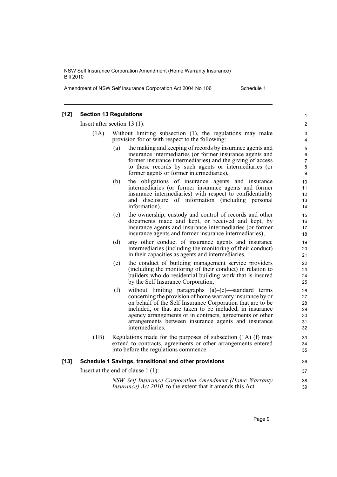Amendment of NSW Self Insurance Corporation Act 2004 No 106 Schedule 1

#### **[12] Section 13 Regulations** Insert after section 13 (1): (1A) Without limiting subsection (1), the regulations may make provision for or with respect to the following: (a) the making and keeping of records by insurance agents and insurance intermediaries (or former insurance agents and former insurance intermediaries) and the giving of access to those records by such agents or intermediaries (or former agents or former intermediaries), (b) the obligations of insurance agents and insurance intermediaries (or former insurance agents and former insurance intermediaries) with respect to confidentiality and disclosure of information (including personal information), (c) the ownership, custody and control of records and other documents made and kept, or received and kept, by insurance agents and insurance intermediaries (or former insurance agents and former insurance intermediaries), (d) any other conduct of insurance agents and insurance intermediaries (including the monitoring of their conduct) in their capacities as agents and intermediaries, (e) the conduct of building management service providers (including the monitoring of their conduct) in relation to builders who do residential building work that is insured by the Self Insurance Corporation, (f) without limiting paragraphs (a)–(e)—standard terms concerning the provision of home warranty insurance by or on behalf of the Self Insurance Corporation that are to be included, or that are taken to be included, in insurance agency arrangements or in contracts, agreements or other arrangements between insurance agents and insurance intermediaries. (1B) Regulations made for the purposes of subsection (1A) (f) may extend to contracts, agreements or other arrangements entered into before the regulations commence. **[13] Schedule 1 Savings, transitional and other provisions** Insert at the end of clause 1 (1): *NSW Self Insurance Corporation Amendment (Home Warranty Insurance) Act 2010*, to the extent that it amends this Act 1  $\mathfrak{p}$ 3 4 5 6 7 8 9 10 11 12 13 14 15 16 17 18 19 20 21 22 23  $24$ 25  $26$ 27  $28$ 29  $30$ 31 32 33 34 35 36 37 38 39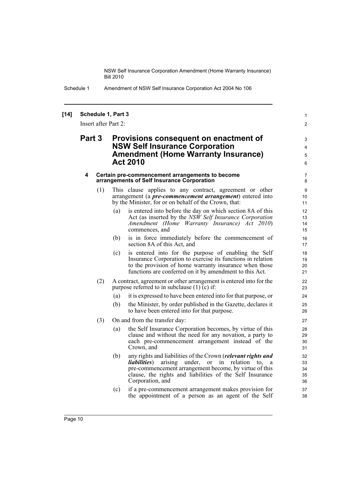> 1  $\mathfrak{p}$

Schedule 1 Amendment of NSW Self Insurance Corporation Act 2004 No 106

#### **[14] Schedule 1, Part 3**

Insert after Part 2:

## **Part 3 Provisions consequent on enactment of NSW Self Insurance Corporation Amendment (Home Warranty Insurance) Act 2010**

#### **4 Certain pre-commencement arrangements to become arrangements of Self Insurance Corporation**

- (1) This clause applies to any contract, agreement or other arrangement (a *pre-commencement arrangement*) entered into by the Minister, for or on behalf of the Crown, that:
	- (a) is entered into before the day on which section 8A of this Act (as inserted by the *NSW Self Insurance Corporation Amendment (Home Warranty Insurance) Act 2010*) commences, and
	- (b) is in force immediately before the commencement of section 8A of this Act, and
	- (c) is entered into for the purpose of enabling the Self Insurance Corporation to exercise its functions in relation to the provision of home warranty insurance when those functions are conferred on it by amendment to this Act.
- (2) A contract, agreement or other arrangement is entered into for the purpose referred to in subclause (1) (c) if:
	- (a) it is expressed to have been entered into for that purpose, or
	- (b) the Minister, by order published in the Gazette, declares it to have been entered into for that purpose.
- (3) On and from the transfer day:
	- (a) the Self Insurance Corporation becomes, by virtue of this clause and without the need for any novation, a party to each pre-commencement arrangement instead of the Crown, and
	- (b) any rights and liabilities of the Crown (*relevant rights and liabilities*) arising under, or in relation to, a pre-commencement arrangement become, by virtue of this clause, the rights and liabilities of the Self Insurance Corporation, and
	- (c) if a pre-commencement arrangement makes provision for the appointment of a person as an agent of the Self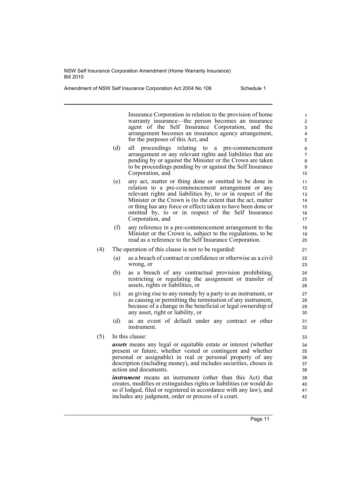Amendment of NSW Self Insurance Corporation Act 2004 No 106 Schedule 1

Insurance Corporation in relation to the provision of home warranty insurance—the person becomes an insurance agent of the Self Insurance Corporation, and the arrangement becomes an insurance agency arrangement, for the purposes of this Act, and

- (d) all proceedings relating to a pre-commencement arrangement or any relevant rights and liabilities that are pending by or against the Minister or the Crown are taken to be proceedings pending by or against the Self Insurance Corporation, and
- (e) any act, matter or thing done or omitted to be done in relation to a pre-commencement arrangement or any relevant rights and liabilities by, to or in respect of the Minister or the Crown is (to the extent that the act, matter or thing has any force or effect) taken to have been done or omitted by, to or in respect of the Self Insurance Corporation, and
- (f) any reference in a pre-commencement arrangement to the Minister or the Crown is, subject to the regulations, to be read as a reference to the Self Insurance Corporation.
- (4) The operation of this clause is not to be regarded:
	- (a) as a breach of contract or confidence or otherwise as a civil wrong, or
	- (b) as a breach of any contractual provision prohibiting, restricting or regulating the assignment or transfer of assets, rights or liabilities, or
	- (c) as giving rise to any remedy by a party to an instrument, or as causing or permitting the termination of any instrument, because of a change in the beneficial or legal ownership of any asset, right or liability, or
	- (d) as an event of default under any contract or other instrument.
- (5) In this clause:

*assets* means any legal or equitable estate or interest (whether present or future, whether vested or contingent and whether personal or assignable) in real or personal property of any description (including money), and includes securities, choses in action and documents.

*instrument* means an instrument (other than this Act) that creates, modifies or extinguishes rights or liabilities (or would do so if lodged, filed or registered in accordance with any law), and includes any judgment, order or process of a court.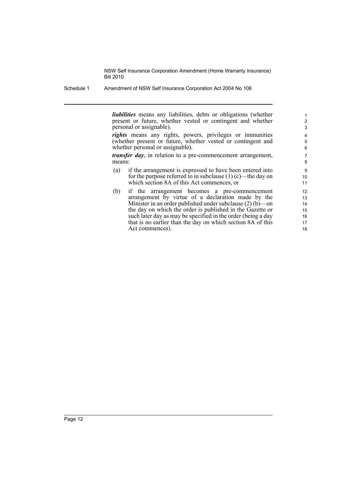Schedule 1 Amendment of NSW Self Insurance Corporation Act 2004 No 106

*liabilities* means any liabilities, debts or obligations (whether present or future, whether vested or contingent and whether personal or assignable).

*rights* means any rights, powers, privileges or immunities (whether present or future, whether vested or contingent and whether personal or assignable).

*transfer day*, in relation to a pre-commencement arrangement, means:

- (a) if the arrangement is expressed to have been entered into for the purpose referred to in subclause  $(1)$  (c)—the day on which section 8A of this Act commences, or
- (b) if the arrangement becomes a pre-commencement arrangement by virtue of a declaration made by the Minister in an order published under subclause (2) (b)—on the day on which the order is published in the Gazette or such later day as may be specified in the order (being a day that is no earlier than the day on which section 8A of this Act commences).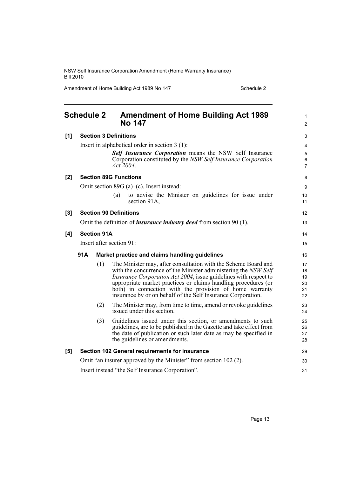Amendment of Home Building Act 1989 No 147 Schedule 2

<span id="page-18-0"></span>

|       | <b>Schedule 2</b>                                                          |     | <b>Amendment of Home Building Act 1989</b><br><b>No 147</b>                                                                                                                                                                                                                                                                                                                                                | 1<br>$\overline{2}$              |  |
|-------|----------------------------------------------------------------------------|-----|------------------------------------------------------------------------------------------------------------------------------------------------------------------------------------------------------------------------------------------------------------------------------------------------------------------------------------------------------------------------------------------------------------|----------------------------------|--|
| [1]   | <b>Section 3 Definitions</b>                                               |     |                                                                                                                                                                                                                                                                                                                                                                                                            |                                  |  |
|       |                                                                            |     | Insert in alphabetical order in section $3(1)$ :<br>Self Insurance Corporation means the NSW Self Insurance<br>Corporation constituted by the NSW Self Insurance Corporation<br>Act 2004.                                                                                                                                                                                                                  | 4<br>5<br>6<br>7                 |  |
| [2]   |                                                                            |     | <b>Section 89G Functions</b>                                                                                                                                                                                                                                                                                                                                                                               | 8                                |  |
|       |                                                                            |     | Omit section 89G (a)–(c). Insert instead:                                                                                                                                                                                                                                                                                                                                                                  | 9                                |  |
|       |                                                                            |     | to advise the Minister on guidelines for issue under<br>(a)<br>section 91A,                                                                                                                                                                                                                                                                                                                                | 10<br>11                         |  |
| $[3]$ |                                                                            |     | <b>Section 90 Definitions</b>                                                                                                                                                                                                                                                                                                                                                                              | 12                               |  |
|       | Omit the definition of <i>insurance industry deed</i> from section 90 (1). |     |                                                                                                                                                                                                                                                                                                                                                                                                            |                                  |  |
| [4]   | <b>Section 91A</b>                                                         |     |                                                                                                                                                                                                                                                                                                                                                                                                            | 14                               |  |
|       | Insert after section 91:                                                   |     |                                                                                                                                                                                                                                                                                                                                                                                                            |                                  |  |
|       | 91A<br>Market practice and claims handling guidelines                      |     |                                                                                                                                                                                                                                                                                                                                                                                                            |                                  |  |
|       |                                                                            | (1) | The Minister may, after consultation with the Scheme Board and<br>with the concurrence of the Minister administering the NSW Self<br><i>Insurance Corporation Act 2004</i> , issue guidelines with respect to<br>appropriate market practices or claims handling procedures (or<br>both) in connection with the provision of home warranty<br>insurance by or on behalf of the Self Insurance Corporation. | 17<br>18<br>19<br>20<br>21<br>22 |  |
|       |                                                                            | (2) | The Minister may, from time to time, amend or revoke guidelines<br>issued under this section.                                                                                                                                                                                                                                                                                                              | 23<br>24                         |  |
|       |                                                                            | (3) | Guidelines issued under this section, or amendments to such<br>guidelines, are to be published in the Gazette and take effect from<br>the date of publication or such later date as may be specified in<br>the guidelines or amendments.                                                                                                                                                                   | 25<br>26<br>27<br>28             |  |
| [5]   | Section 102 General requirements for insurance                             |     |                                                                                                                                                                                                                                                                                                                                                                                                            | 29                               |  |
|       | Omit "an insurer approved by the Minister" from section 102 (2).           |     |                                                                                                                                                                                                                                                                                                                                                                                                            | 30                               |  |
|       | Insert instead "the Self Insurance Corporation".                           |     |                                                                                                                                                                                                                                                                                                                                                                                                            |                                  |  |
|       |                                                                            |     |                                                                                                                                                                                                                                                                                                                                                                                                            |                                  |  |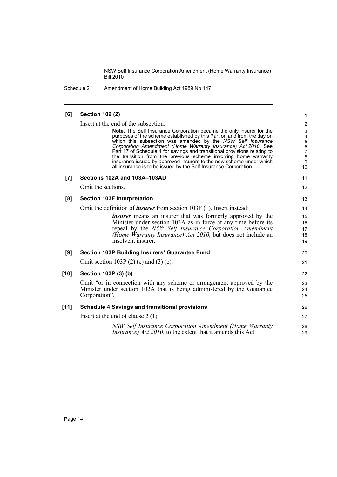Schedule 2 Amendment of Home Building Act 1989 No 147

#### **[6] Section 102 (2)** Insert at the end of the subsection: **Note.** The Self Insurance Corporation became the only insurer for the purposes of the scheme established by this Part on and from the day on which this subsection was amended by the *NSW Self Insurance Corporation Amendment (Home Warranty Insurance) Act 2010*. See Part 17 of Schedule 4 for savings and transitional provisions relating to the transition from the previous scheme involving home warranty insurance issued by approved insurers to the new scheme under which all insurance is to be issued by the Self Insurance Corporation. **[7] Sections 102A and 103A–103AD** Omit the sections. **[8] Section 103F Interpretation** Omit the definition of *insurer* from section 103F (1). Insert instead: *insurer* means an insurer that was formerly approved by the Minister under section 103A as in force at any time before its repeal by the *NSW Self Insurance Corporation Amendment (Home Warranty Insurance) Act 2010*, but does not include an insolvent insurer. **[9] Section 103P Building Insurers' Guarantee Fund** Omit section 103P (2) (e) and (3) (e). **[10] Section 103P (3) (b)** Omit "or in connection with any scheme or arrangement approved by the Minister under section 102A that is being administered by the Guarantee Corporation". **[11] Schedule 4 Savings and transitional provisions** Insert at the end of clause 2 (1): *NSW Self Insurance Corporation Amendment (Home Warranty Insurance*) *Act 2010*, to the extent that it amends this Act 1 2 3 4 5 6 7 8 9 10 11 12 13 14 15 16 17 18 19 20 21 22 23 24 25 26 27 28 29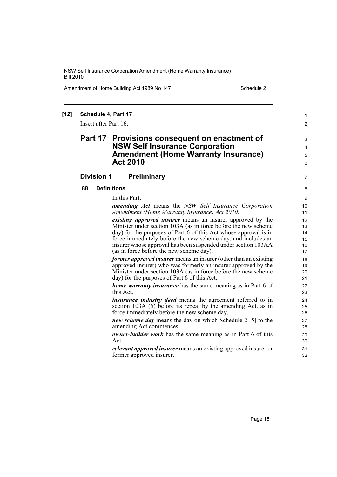Amendment of Home Building Act 1989 No 147 Schedule 2

1  $\mathfrak{p}$ 

7

#### **[12] Schedule 4, Part 17**

Insert after Part 16:

## **Part 17 Provisions consequent on enactment of NSW Self Insurance Corporation Amendment (Home Warranty Insurance) Act 2010**

#### **Division 1 Preliminary**

#### **88 Definitions**

In this Part:

*amending Act* means the *NSW Self Insurance Corporation Amendment (Home Warranty Insurance) Act 2010*.

*existing approved insurer* means an insurer approved by the Minister under section 103A (as in force before the new scheme day) for the purposes of Part 6 of this Act whose approval is in force immediately before the new scheme day, and includes an insurer whose approval has been suspended under section 103AA (as in force before the new scheme day).

*former approved insurer* means an insurer (other than an existing approved insurer) who was formerly an insurer approved by the Minister under section 103A (as in force before the new scheme day) for the purposes of Part 6 of this Act.

*home warranty insurance* has the same meaning as in Part 6 of this Act.

*insurance industry deed* means the agreement referred to in section 103A (5) before its repeal by the amending Act, as in force immediately before the new scheme day.

*new scheme day* means the day on which Schedule 2 [5] to the amending Act commences.

*owner-builder work* has the same meaning as in Part 6 of this Act.

*relevant approved insurer* means an existing approved insurer or former approved insurer.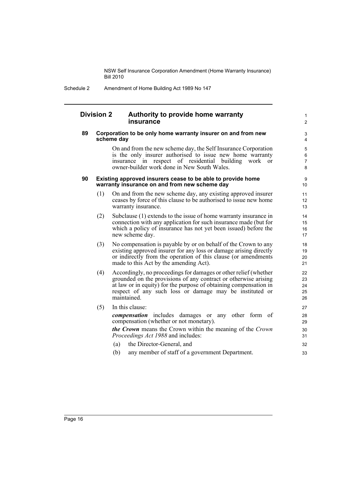Schedule 2 Amendment of Home Building Act 1989 No 147

#### **Division 2 Authority to provide home warranty insurance**

#### **89 Corporation to be only home warranty insurer on and from new scheme day**

On and from the new scheme day, the Self Insurance Corporation is the only insurer authorised to issue new home warranty insurance in respect of residential building work or owner-builder work done in New South Wales.

1  $\overline{2}$ 

#### **90 Existing approved insurers cease to be able to provide home warranty insurance on and from new scheme day**

- (1) On and from the new scheme day, any existing approved insurer ceases by force of this clause to be authorised to issue new home warranty insurance.
- (2) Subclause (1) extends to the issue of home warranty insurance in connection with any application for such insurance made (but for which a policy of insurance has not yet been issued) before the new scheme day.
- (3) No compensation is payable by or on behalf of the Crown to any existing approved insurer for any loss or damage arising directly or indirectly from the operation of this clause (or amendments made to this Act by the amending Act).
- (4) Accordingly, no proceedings for damages or other relief (whether grounded on the provisions of any contract or otherwise arising at law or in equity) for the purpose of obtaining compensation in respect of any such loss or damage may be instituted or maintained.

### (5) In this clause:

*compensation* includes damages or any other form of compensation (whether or not monetary).

*the Crown* means the Crown within the meaning of the *Crown Proceedings Act 1988* and includes:

- (a) the Director-General, and
- (b) any member of staff of a government Department.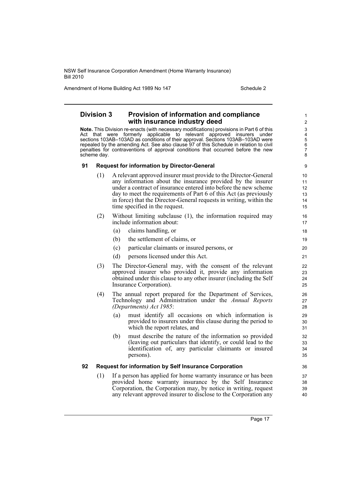Amendment of Home Building Act 1989 No 147 Schedule 2

### **Division 3 Provision of information and compliance with insurance industry deed**

**Note.** This Division re-enacts (with necessary modifications) provisions in Part 6 of this Act that were formerly applicable to relevant approved insurers under sections 103AB–103AD as conditions of their approval. Sections 103AB–103AD were repealed by the amending Act. See also clause 97 of this Schedule in relation to civil penalties for contraventions of approval conditions that occurred before the new scheme day.

#### **91 Request for information by Director-General**

- (1) A relevant approved insurer must provide to the Director-General any information about the insurance provided by the insurer under a contract of insurance entered into before the new scheme day to meet the requirements of Part 6 of this Act (as previously in force) that the Director-General requests in writing, within the time specified in the request.
- (2) Without limiting subclause (1), the information required may include information about:
	- (a) claims handling, or
	- (b) the settlement of claims, or
	- (c) particular claimants or insured persons, or
	- (d) persons licensed under this Act.
- (3) The Director-General may, with the consent of the relevant approved insurer who provided it, provide any information obtained under this clause to any other insurer (including the Self Insurance Corporation).
- (4) The annual report prepared for the Department of Services, Technology and Administration under the *Annual Reports (Departments) Act 1985*:
	- (a) must identify all occasions on which information is provided to insurers under this clause during the period to which the report relates, and
	- (b) must describe the nature of the information so provided (leaving out particulars that identify, or could lead to the identification of, any particular claimants or insured persons).

#### **92 Request for information by Self Insurance Corporation**

(1) If a person has applied for home warranty insurance or has been provided home warranty insurance by the Self Insurance Corporation, the Corporation may, by notice in writing, request any relevant approved insurer to disclose to the Corporation any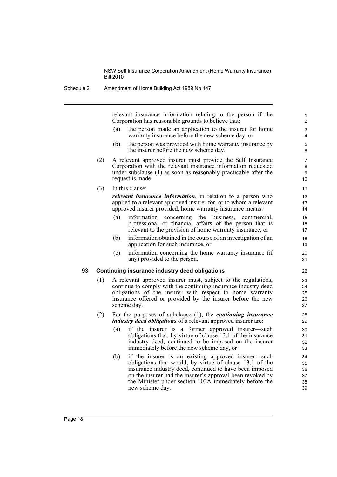Schedule 2 Amendment of Home Building Act 1989 No 147

relevant insurance information relating to the person if the Corporation has reasonable grounds to believe that:

(a) the person made an application to the insurer for home warranty insurance before the new scheme day, or

- (b) the person was provided with home warranty insurance by the insurer before the new scheme day.
- (2) A relevant approved insurer must provide the Self Insurance Corporation with the relevant insurance information requested under subclause (1) as soon as reasonably practicable after the request is made.
- (3) In this clause:

*relevant insurance information*, in relation to a person who applied to a relevant approved insurer for, or to whom a relevant approved insurer provided, home warranty insurance means:

- (a) information concerning the business, commercial, professional or financial affairs of the person that is relevant to the provision of home warranty insurance, or
- (b) information obtained in the course of an investigation of an application for such insurance, or
- (c) information concerning the home warranty insurance (if any) provided to the person.

#### **93 Continuing insurance industry deed obligations**

- (1) A relevant approved insurer must, subject to the regulations, continue to comply with the continuing insurance industry deed obligations of the insurer with respect to home warranty insurance offered or provided by the insurer before the new scheme day.
- (2) For the purposes of subclause (1), the *continuing insurance industry deed obligations* of a relevant approved insurer are:
	- (a) if the insurer is a former approved insurer—such obligations that, by virtue of clause 13.1 of the insurance industry deed, continued to be imposed on the insurer immediately before the new scheme day, or
	- (b) if the insurer is an existing approved insurer—such obligations that would, by virtue of clause 13.1 of the insurance industry deed, continued to have been imposed on the insurer had the insurer's approval been revoked by the Minister under section 103A immediately before the new scheme day.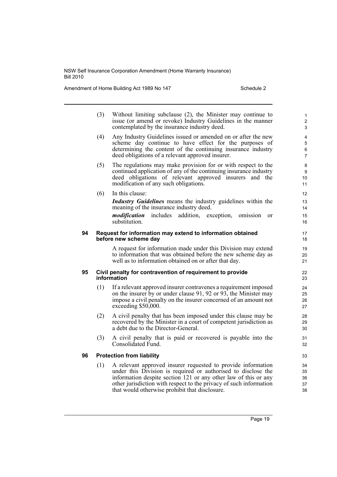Amendment of Home Building Act 1989 No 147 Schedule 2

|    | (3) | Without limiting subclause (2), the Minister may continue to<br>issue (or amend or revoke) Industry Guidelines in the manner<br>contemplated by the insurance industry deed.                                                                                                                                             | 1<br>$\overline{2}$<br>3      |  |  |  |  |
|----|-----|--------------------------------------------------------------------------------------------------------------------------------------------------------------------------------------------------------------------------------------------------------------------------------------------------------------------------|-------------------------------|--|--|--|--|
|    | (4) | Any Industry Guidelines issued or amended on or after the new<br>scheme day continue to have effect for the purposes of<br>determining the content of the continuing insurance industry<br>deed obligations of a relevant approved insurer.                                                                              | 4<br>5<br>6<br>$\overline{7}$ |  |  |  |  |
|    | (5) | The regulations may make provision for or with respect to the<br>continued application of any of the continuing insurance industry<br>deed obligations of relevant approved insurers<br>and the<br>modification of any such obligations.                                                                                 | 8<br>9<br>10<br>11            |  |  |  |  |
|    | (6) | In this clause:<br><b>Industry Guidelines</b> means the industry guidelines within the<br>meaning of the insurance industry deed.<br>includes<br>modification<br>addition, exception,<br>omission<br><sub>or</sub><br>substitution.                                                                                      | 12<br>13<br>14<br>15<br>16    |  |  |  |  |
| 94 |     | Request for information may extend to information obtained<br>before new scheme day                                                                                                                                                                                                                                      | 17<br>18                      |  |  |  |  |
|    |     | A request for information made under this Division may extend<br>to information that was obtained before the new scheme day as<br>well as to information obtained on or after that day.                                                                                                                                  | 19<br>20<br>21                |  |  |  |  |
| 95 |     | Civil penalty for contravention of requirement to provide<br>22<br>information<br>23                                                                                                                                                                                                                                     |                               |  |  |  |  |
|    | (1) | If a relevant approved insurer contravenes a requirement imposed<br>on the insurer by or under clause 91, 92 or 93, the Minister may<br>impose a civil penalty on the insurer concerned of an amount not<br>exceeding \$50,000.                                                                                          | 24<br>25<br>26<br>27          |  |  |  |  |
|    | (2) | A civil penalty that has been imposed under this clause may be<br>recovered by the Minister in a court of competent jurisdiction as<br>a debt due to the Director-General.                                                                                                                                               | 28<br>29<br>30                |  |  |  |  |
|    | (3) | A civil penalty that is paid or recovered is payable into the<br>Consolidated Fund.                                                                                                                                                                                                                                      | 31<br>32                      |  |  |  |  |
| 96 |     | <b>Protection from liability</b>                                                                                                                                                                                                                                                                                         | 33                            |  |  |  |  |
|    | (1) | A relevant approved insurer requested to provide information<br>under this Division is required or authorised to disclose the<br>information despite section 121 or any other law of this or any<br>other jurisdiction with respect to the privacy of such information<br>that would otherwise prohibit that disclosure. | 34<br>35<br>36<br>37<br>38    |  |  |  |  |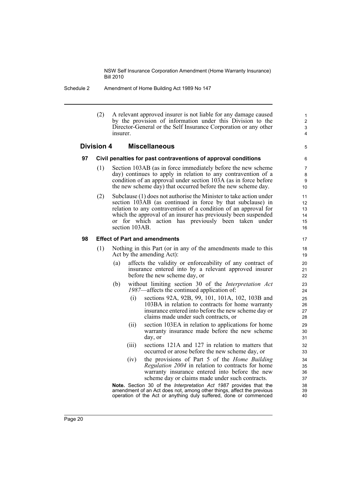#### Schedule 2 Amendment of Home Building Act 1989 No 147

(2) A relevant approved insurer is not liable for any damage caused by the provision of information under this Division to the Director-General or the Self Insurance Corporation or any other insurer.

5

#### **Division 4 Miscellaneous**

#### **97 Civil penalties for past contraventions of approval conditions**

- (1) Section 103AB (as in force immediately before the new scheme day) continues to apply in relation to any contravention of a condition of an approval under section 103A (as in force before the new scheme day) that occurred before the new scheme day.
- (2) Subclause (1) does not authorise the Minister to take action under section 103AB (as continued in force by that subclause) in relation to any contravention of a condition of an approval for which the approval of an insurer has previously been suspended or for which action has previously been taken under section 103AB.

#### **98 Effect of Part and amendments**

- (1) Nothing in this Part (or in any of the amendments made to this Act by the amending Act):
	- (a) affects the validity or enforceability of any contract of insurance entered into by a relevant approved insurer before the new scheme day, or
	- (b) without limiting section 30 of the *Interpretation Act 1987*—affects the continued application of:
		- (i) sections 92A, 92B, 99, 101, 101A, 102, 103B and 103BA in relation to contracts for home warranty insurance entered into before the new scheme day or claims made under such contracts, or
		- (ii) section 103EA in relation to applications for home warranty insurance made before the new scheme day, or
		- (iii) sections 121A and 127 in relation to matters that occurred or arose before the new scheme day, or
		- (iv) the provisions of Part 5 of the *Home Building Regulation 2004* in relation to contracts for home warranty insurance entered into before the new scheme day or claims made under such contracts.

**Note.** Section 30 of the *Interpretation Act 1987* provides that the amendment of an Act does not, among other things, affect the previous operation of the Act or anything duly suffered, done or commenced